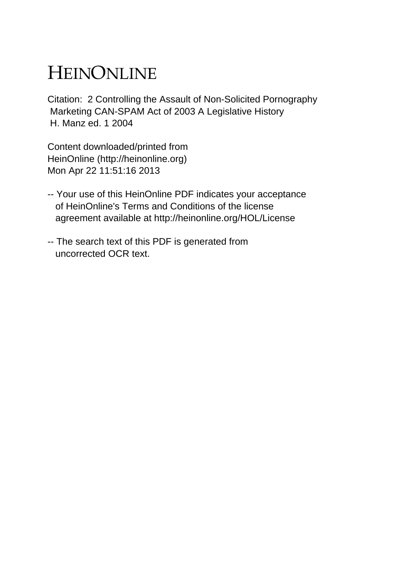# HEINONLINE

Citation: 2 Controlling the Assault of Non-Solicited Pornography Marketing CAN-SPAM Act of 2003 A Legislative History H. Manz ed. 1 2004

Content downloaded/printed from HeinOnline (http://heinonline.org) Mon Apr 22 11:51:16 2013

- -- Your use of this HeinOnline PDF indicates your acceptance of HeinOnline's Terms and Conditions of the license agreement available at http://heinonline.org/HOL/License
- -- The search text of this PDF is generated from uncorrected OCR text.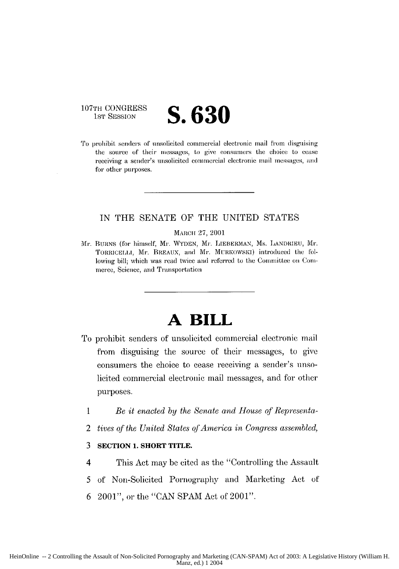## **107TH CONGRESS**<br>**1st Session**

# **1IST** SESSION **S.630**

To prohibit senders of unsolicited commercial electronic mail From dlisguising the source of their messages, to give consumers the choice to cease receiving a sender's unsolicited commercial electronic mail messages, and for other purposes.

#### **IN THE SENATE** OF **THE** UNITED **STATES**

#### MARCH 27, 2001

**Ar. BURNS** (for himself, Mr. WYDEN, M1r. LIEBERMAN, Ms. LANI)IIEti, **Mr.** TORRICELLI, Mr. BREAUX, and Mr. MURKOWSKI) introduced the following bill; which was read twice and referred to the Committee on Commerce, Science, and Transportation

## **A BILL**

- To prohibit senders of unsolicited commercial electronic **mail** from disguising the source of their messages, to give consumers the choice to cease receiving a sender's unsolicited commercial electronic mail messages, and for other purposes.
	- *1 Be it enacted* **by** *the Senate and House of Representa-*
	- 2 *tives of the United States of America in Congress assembled,*

#### **3 SECTION 1. SHORT TITLE.**

- 4 This Act may **be** cited as the "Controlling the Assault
- *5* of Non-Solicited Pornography and Marketing Act of
- $6\text{--}2001"$ , or the "CAN SPAM Act of 2001".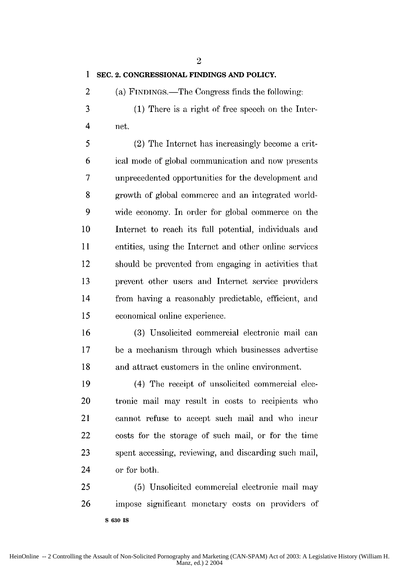2

#### **1 SEC. 2. CONGRESSIONAL FINDINGS AND POLICY.**

2 (a) FINDINGS.—The Congress finds the following:

3 (1) There is a right of free speech on the Inter-4 net.

5 (2) The Internet has increasingly become a erit-6 ical mode of global communication and now presents 7 unprecedented opportunities for the development and **8** growth of global commerce and an integrated world-9 wide economy. In order for global commerce on the 10 Internet to reach its full potential, individuals and 11 entities, using the Internet and other online services 12 should be prevented from engaging in activities that 13 prevent other users and Internet service providers 14 from having a reasonably predictable, efficient, and 15 economical online experience.

16 (3) Unsolicited commercial electronic mail can 17 be a mechanism through which businesses advertise 18 and attract customers in the online environment.

19 (4) The receipt of unsolicited commercial dec-20 tronic mail may result in costs to recipients who 21 cannot refuse to accept such mail and who **incur** 22 costs for the storage of such mail, or for the time 23 spent accessing, reviewing, and discarding such mail, 24 or for both.

25 (5) Unsolicited commercial electronic mail may 26 impose significant monetary costs on providers of **S 630 IS**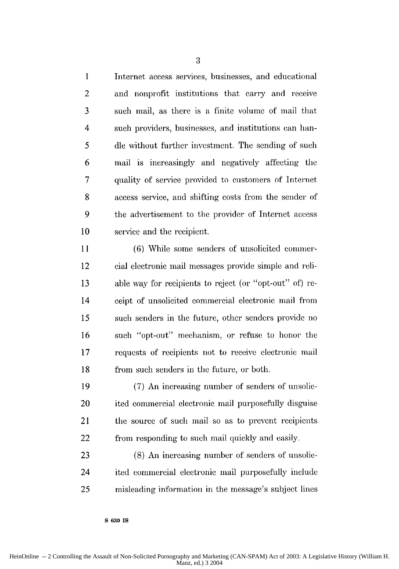**I** Internet access services, businesses, and educational 2 and nonprofit institutions that carry and receive 3 such mail, as there is a finite volume of mail that 4 such providers, businesses, and institutions can ban-*5* dle without further investment. The sending of such 6 mail is increasingly and negatively affecting the 7 quality of service provided to customers of Internet 8 access service, and shifting costs from the sender of 9 the advertisement to the provider of Internet access 10 service and the recipient.

11 (6) While some senders of unsolicited connner-12 cial electronic mail messages provide simple and reli-13 able way for recipients to reject (or "opt-out" of) re-14 ceipt of unsolicited commercial electronic mail from 15 such senders in the future, other senders provide no 16 such "opt-out" mechanism, or refuse to honor the 17 requests of recipients not to receive electronic mail 18 from such senders in the future, or both.

19 (7) An increasing number of senders of unsolic-20 ited commercial electronic mail purposefully disguise 21 the source of such mail so as to prevent recipients 22 from responding to such mail quickly and easily.

23 (8) An increasing number of senders of unsolic-24 ited commercial electronic mail purposefully include 25 misleading information in the message's subject lines

**S 630 Is**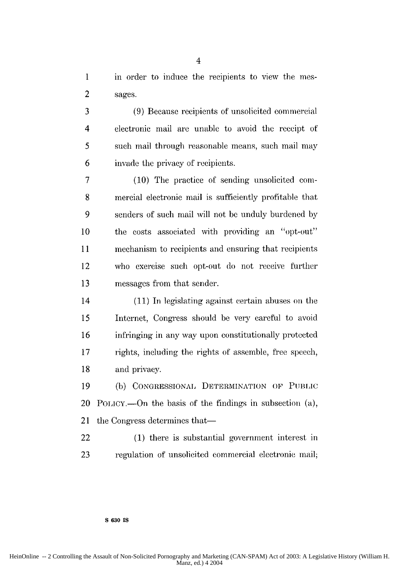1 in order to induce the recipients to view the mes-2 sages.

3 (9) Because recipients of unsolicited commercial 4 electronic mail are unable to avoid the receipt of 5 such mail through reasonable means, such mail may 6 invade the privacy of recipients.

7 (10) The practice of sending unsolicited com-8 mercial electronic mail is sufficiently profitable that 9 senders of such mail will not be unduly burdened by 10 the costs associated with providing an "opt-out" 11 mechanism to recipients and ensuring that recipients 12 who exercise such opt-out do not receive further 13 messages from that sender.

14 (11) In legislating against certain abuses on the 15 Internet, Congress should be very careful to avoid 16 infringing in any way upon constitutionally protected 17 rights, including the rights of assemble, free speech, 18 and privacy.

19 (b) **CONGRESSIONAI,** DETERMINATION OF **PUBLIC** 20 POLiCY.-On the basis of the findings in subsection (a), 21 the Congress determines that—

22 (1) there is substantial government interest in 23 regulation of unsolicited commercial electronic mail;

#### **S 630 IS**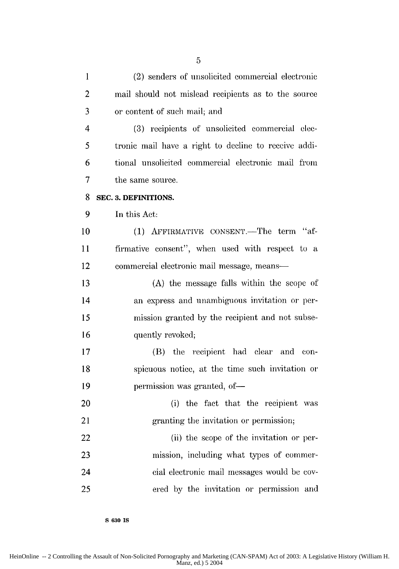1 (2) senders of unsolicited commercial electronic 2 mail should not mislead recipients as to the source 3 or content of such mail; and 4 (3) recipients of unsolicited commercial elec-5 tronic mail have a right to decline to receive addi-6 tional unsolicited commercial electronic mail from 7 the same source. **8 SEC. 3. DEFINITIONS.** 9 In this Act: 10 (1) AFFIRMATIVE CONSENT.—The term "af-11 firmative consent", when used with respect to a 12 commercial electronic mail message, means-13 (A) the message falls within the scope of 14 an express and unambiguous invitation or per-15 mission granted by the recipient and not subse-16 quently revoked; 17 (B) the recipient had clear and con-18 spicuous notice, at the time such invitation or 19 permission was granted, of-20 (i) the fact that the recipient was 21 granting the invitation or permission; 22 (ii) the scope of the invitation or per-23 mission, including what types of commer-24 cial electronic mail messages would be cov-25 ered by the invitation or permission and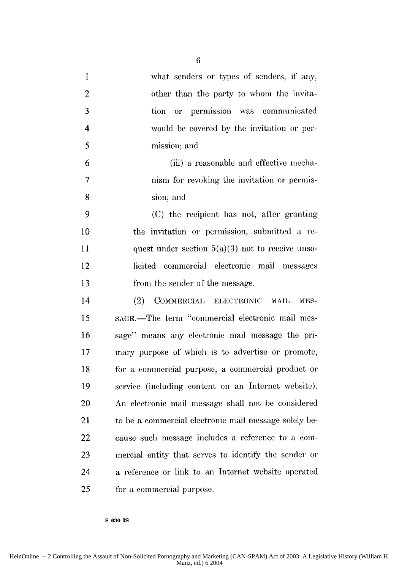1 what senders or types of senders, if any, 2 other than the party to whom the invita-3 tion or permission was communicated 4 would be covered by the invitation or per-5 mission; and 6 (iii) a reasonable and effective mecha-7 nism for revoking the invitation or permis-**8** sion; and 9 (C) the recipient has not, after granting 10 the invitation or permission, submitted a re-11 quest under section  $5(a)(3)$  not to receive unso-12 licited commercial electronic mail messages 13 from the sender of the message. 14 (2) COMMERCIAL ELECTRONIC MAIL MES-15 SAGE.—The term "commercial electronic mail mes-16 sage" means any electronic mail message the pri-

17 mary purpose of which is to advertise or promote, 18 for a commercial purpose, a commercial product or 19 service (including content on an Internet website). 20 An electronic mail message shall not be considered 21 to be a commercial electronic mail message solely be-22 cause such message includes a reference to a com-23 mercial entity that serves to identify the sender or 24 a reference or link to an Internet website operated 25 for a commercial purpose.

**S 630 IS**

 $6\overline{6}$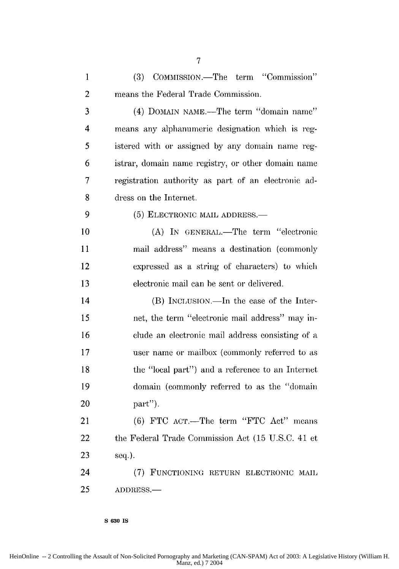| $\mathbf{1}$ | COMMISSION.-The term "Commission"<br>(3)            |
|--------------|-----------------------------------------------------|
| 2            | means the Federal Trade Commission.                 |
| 3            | (4) DOMAIN NAME.—The term "domain name"             |
| 4            | means any alphanumeric designation which is reg-    |
| 5            | istered with or assigned by any domain name reg-    |
| 6            | istrar, domain name registry, or other domain name  |
| 7            | registration authority as part of an electronic ad- |
| 8            | dress on the Internet.                              |
| 9            | (5) ELECTRONIC MAIL ADDRESS.—                       |
| 10           | (A) IN GENERAL.-The term "electronic                |
| 11           | mail address" means a destination (commonly         |
| 12           | expressed as a string of characters) to which       |
| 13           | electronic mail can be sent or delivered.           |
| 14           | (B) INCLUSION.—In the case of the Inter-            |
| 15           | net, the term "electronic mail address" may in-     |
| 16           | clude an electronic mail address consisting of a    |
| 17           | user name or mailbox (commonly referred to as       |
| 18           | the "local part") and a reference to an Internet    |
| 19           | domain (commonly referred to as the "domain         |
| 20           | part").                                             |
| 21           | (6) FTC ACT.—The term "FTC Act" means               |
| 22           | the Federal Trade Commission Act (15 U.S.C. 41 et   |
| 23           | seq.).                                              |
| 24           | (7) FUNCTIONING RETURN ELECTRONIC MAIL              |
| 25           | ADDRESS.-                                           |
|              |                                                     |

**S 630 IS**

HeinOnline -- 2 Controlling the Assault of Non-Solicited Pornography and Marketing (CAN-SPAM) Act of 2003: A Legislative History (William H. Manz, ed.) 7 2004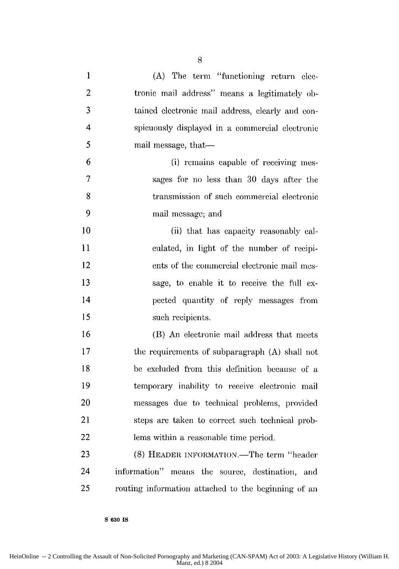1 (A) The term "functioning return elec-2 tronic mail address" means a legitimately ob-3 tained electronic mail address, clearly and con-4 spicuously displayed in a commercial electronic 5 mail message, that— 6 (i) remains capable of receiving ines-7 sages for no less than 30 days after the 8 transmission of such commercial electronic 9 mail message; and 10 (ii) that has capacity reasonably cal-**11** culated, in light of the number of recipi-12 ents of the commercial electronic mail mes-13 sage, to enable it to receive the full ex-14 pected quantity of reply messages from 15 such recipients. 16 (B) An electronic mail address that meets 17 the requirements of subparagraph (A) shall not 18 be excluded from this definition because of a 19 temporary inability to receive electronic mail 20 messages due to technical problems, provided 21 steps are taken to correct such technical prob-22 lems within a reasonable time period. 23 (8) HEADER INFORMATION.—The term "header 24 information" means the source, destination, and

**S 630 IS**

25 routing information attached to the beginning of an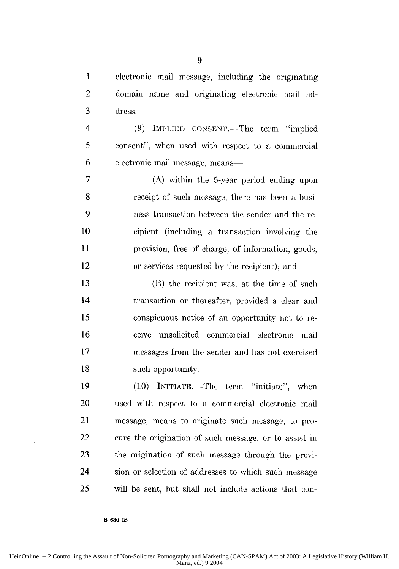1 electronic mail message, including the originating 2 domain name and originating electronic mail ad-3 dress.

4 (9) IMPLIED CONSENT.—The term "implied 5 consent", when used with respect to a commercial 6 electronic mail message, means—

7 (A) within the 5-year period ending upon 8 receipt of such message, there has been a busi-9 ness transaction between the sender and the re-10 cipient (including a transaction involving the 11 provision, free of charge, of information, goods, 12 or services requested by the recipient); and

13 (B) the recipient was, at the time of such 14 transaction or thereafter, provided a clear and 15 conspicuous notice of an opportunity not to re-16 ceive unsolicited commercial electronic mail 17 messages from the sender and has not exercised 18 such opportunity.

19 (10) INITIATE.—The term "initiate", when 20 used with respect to a commercial electronic mail 21 message, means to originate such message, to pro-22 cure the origination of such message, or to assist in 23 the origination of such message through the provi-24 sion or selection of addresses to which such message 25 will be sent, but shall not include actions that con-

**S 630 IS**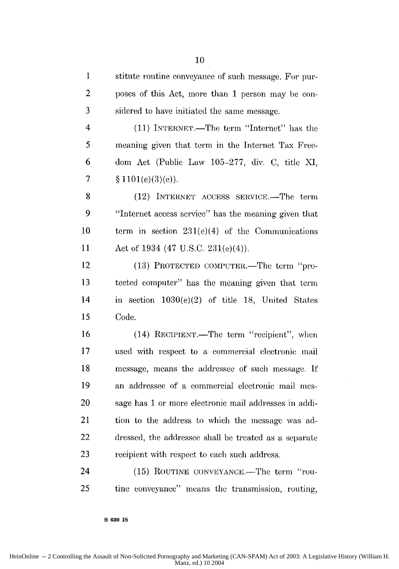1 stitute routine conveyance of such message. For pur-2 poses of this Act, more than 1 person may be con-3 sidered to have initiated the same message.

4 (11) INTERNET.—The term "Internet" has the 5 meaning given that term in the Internet Tax Free-6 dora Act (Public Law 105-277, div. C, title XI, **7 § I101(e)(3)(c)).**

8 (12) INTERNET ACCESS SERVICE.—The term 9 "Internet access service" has the meaning given that 10 term in section 231(e)(4) of the Communications 11 Act of 1934 (47 U.S.C. 231(e)(4)).

12 (13) PROTECTED COMPUTER.—The term "pro-13 tected computer" has the meaning given that term 14 in section 1030(e)(2) of title 18, United States 15 Code.

16 (14) RECIPIENT.—The term "recipient", when 17 used with respect to a commercial electronic mail 18 message, means the addressee of such message. If 19 an addressee of a commercial electronic mail mes-20 sage has 1 or more electronic mail addresses in addi-21 tion to the address to which the message was ad-22 dressed, the addressee shall be treated as a separate 23 recipient with respect to each such address.

24 (15) ROUTINE CONVEYANCE.—The term "rou-25 tine conveyance" means the transmission, routing,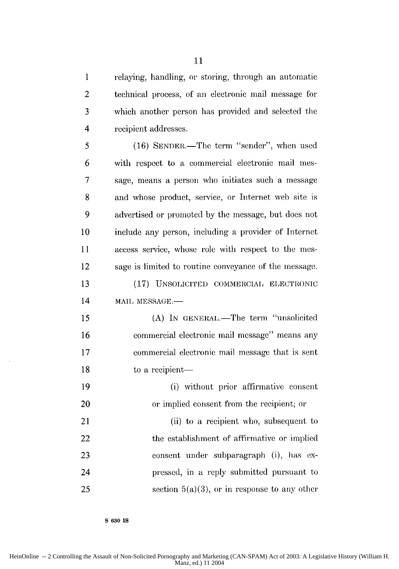1 relaying, handling, or storing, through an automatic 2 technical process, of an electronic mail message for 3 which another person has provided and selected the 4 recipient addresses.

5 (16) SENDER.—The term "sender", when used 6 with respect to a commercial electronic mail mes-7 sage, means a person who initiates such a message 8 and whose product, service, or Internet web site is 9 advertised or promoted by the message, but does not 10 include any person, including a provider of Internet 11 access service, whose role with respect to the mes-12 sage is limited to routine conveyance of the message. 13 (17) UNSOLICITED COMMERCIAL ELECTRONIC 14 MAIL MESSAGE.-15 (A) In GENERAL.—The term "unsolicited" 16 commercial electronic mail message" means any 17 commercial electronic mail message that is sent

18 to a recipient—

19 (i) Without prior affirmative consent 20 or implied consent from the recipient; or 21 (ii) to a recipient who, subsequent to

22 the establishment of affirmative or implied 23 consent under subparagraph (i), has ex-24 pressed, in a reply submitted pursuant to 25 section  $5(a)(3)$ , or in response to any other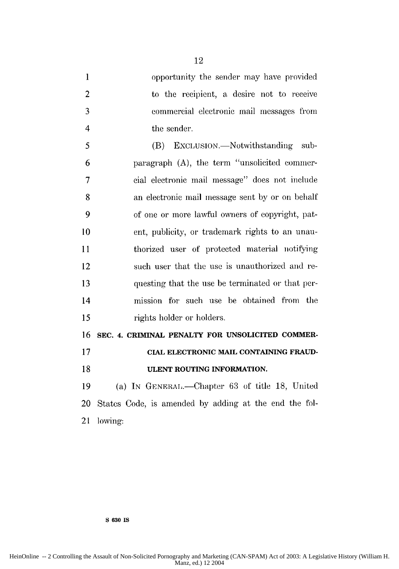| $\mathbf{1}$   | opportunity the sender may have provided              |
|----------------|-------------------------------------------------------|
| $\overline{c}$ | to the recipient, a desire not to receive             |
| 3              | commercial electronic mail messages from              |
| $\overline{4}$ | the sender.                                           |
| 5              | (B) EXCLUSION.—Notwithstanding sub-                   |
| 6              | paragraph (A), the term "unsolicited commer-          |
| 7              | cial electronic mail message" does not include        |
| 8              | an electronic mail message sent by or on behalf       |
| 9              | of one or more lawful owners of copyright, pat-       |
| 10             | ent, publicity, or trademark rights to an unau-       |
| 11             | thorized user of protected material notifying         |
| 12             | such user that the use is unauthorized and re-        |
| 13             | questing that the use be terminated or that per-      |
| 14             | mission for such use be obtained from the             |
| 15             | rights holder or holders.                             |
| 16             | SEC. 4. CRIMINAL PENALTY FOR UNSOLICITED COMMER-      |
| 17             | CIAL ELECTRONIC MAIL CONTAINING FRAUD-                |
| 18             | ULENT ROUTING INFORMATION.                            |
| 19             | (a) IN GENERAL.—Chapter 63 of title 18, United        |
| 20             | States Code, is amended by adding at the end the fol- |
| 21             | lowing:                                               |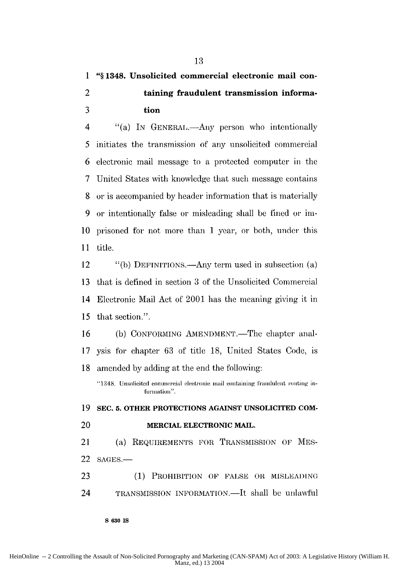### **1 "§ 1348. Unsolicited commercial electronic mail con-2 taining fraudulent transmission informa-3 tion**

4 "(a) In GENERAL.—Any person who intentionally 5 initiates the transmission of any unsolicited commercial 6 electronic mail message to a protected computer in the 7 United States with knowledge that such message contains 8 or is accompanied by header information that is materially **9** or intentionally false or misleading shall **be** fined or im-**10** prisoned for not more than 1 year, or both, under this 11 title.

12 "(b) DEFINITIONS.-Any term used in subsection (a) 13 that is defined in section 3 of the Unsolicited Commercial 14 Electronic Mail Act of 2001 has the meaning giving it in 15 that section.".

16 (b) CONFORMING AMENDMENT.—The chapter anal-17 ysis for chapter 63 of title 18, United States Code, is 18 amended by adding at the end the following:

"1348. Unsolicited commercial electronic mail containing fraudulent routing information".

**19 SEC. 5. OTHER PROTECTIONS AGAINST UNSOLICITED COM-**20 **MERCIAL ELECTRONIC MAIL.** 21 (a) REQUIREMENTS FOR TRANSMISSION OF MES-22 SAGES.-23 (1) PROHIBITION OF FALSE OR MISLEADING

24 TRANSMISSION INFORMATION.—It shall be unlawful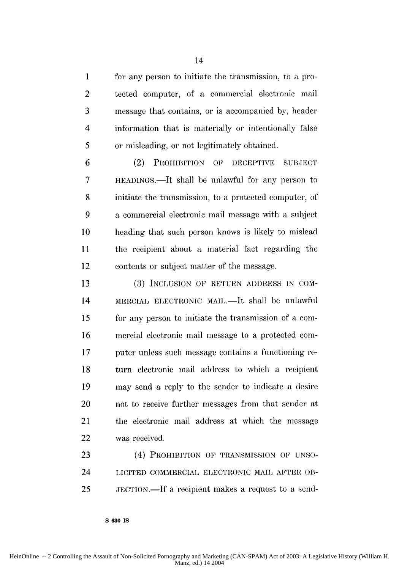1 for any person to initiate the transmission, to a pro-2 tected computer, of a commercial electronic mail 3 message that contains, or is accompanied by, header 4 information that is materially or intentionally false *5* or misleading, or not legitimately obtained.

14

6 (2) PROHIBITION OF DECEPTIVE SUBJECT 7 HEADINGS.—It shall be unlawful for any person to 8 initiate the transmission, to a protected conputer, of 9 a commercial electronic mail message with a subject 10 heading that such person knows is likely to mislead 11 the recipient about a material fact regarding the 12 contents or subject matter of the message.

13 (3) INCLUSION OF RETURN ADDRESS IN COM-14 MERCIAL ELECTRONIC MAIL.—It shall be unlawful 15 for any person to initiate the transmission of a com-**16** mercial electronic mail message to a protected corn-**17** puter unless such message contains a functioning re-**18** turn electronic mail address to which a recipient 19 may send a reply to the sender to indicate a desire 20 not to receive further messages from that sender at 21 the electronic mail address at which the message 22 was received.

23 (4) PROHIBITION OF TRANSMISSION OF UNSO-24 LICITED COMMERCIAL ELECTRONIC MAIL AFTER OB-25 JECTION.-If a recipient makes a request to a send-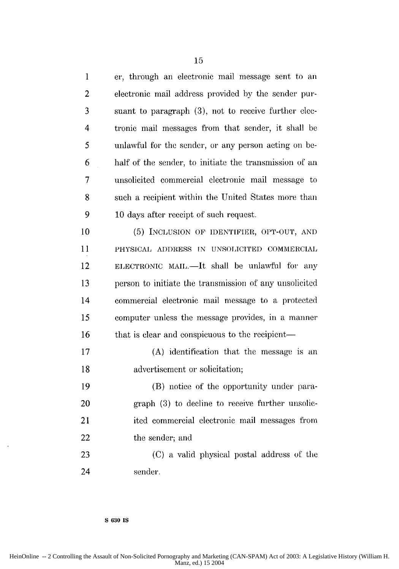1 er, through an electronic mail message sent to an 2 electronic mail address provided by the sender pur-3 suant to paragraph (3), not to receive further **clec-**4 tronic mail messages from that sender, it shall be *5* unlawful for the sender, or any person acting on be-6 half of the sender, to initiate the transmission of an 7 unsolicited commercial electronic mail message to 8 such a recipient within the United States more than 9 10 days after receipt of such request.

10 (5) INCLUSION OF IDENTIFIER, OPT-OUT, **AND** 11 PHYSICAL ADDRESS IN UNSOLICITED COMMERCIAL 12 ELECTRONIC MAIL.—It shall be unlawful for any 13 person to initiate the transmission of any unsolicited 14 commercial electronic mail message to a protected 15 computer unless the message provides, in a manier 16 that is clear and conspicuous to the recipient-

17 (A) identification that the message is an **18** advertisement or solicitation;

19 (B) notice of the opportunity under para-20 graph (3) to decline to receive further unsolic-21 ited commercial electronic mail messages from 22 the sender; and

23 (C) a valid physical postal address of the 24 sender.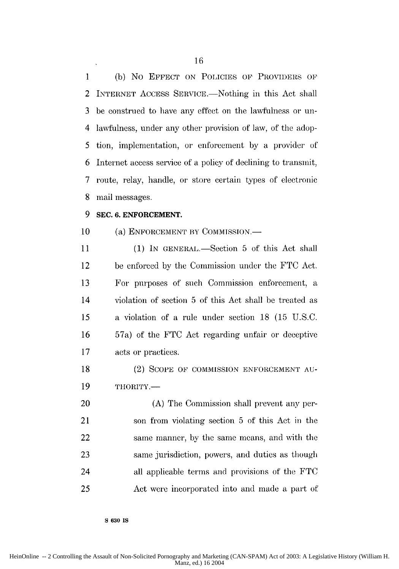1 (b) No EFFECT ON POLICIES OF PROVIDERS OF 2 INTERNET ACCESS SERVICE.—Nothing in this Act shall 3 be construed to have any effect on the lawfulness or un-4 lawfulness, under any other provision of law, of the adop-5 tion, implementation, or enforcement by a provider of 6 Internet access service of a policy of declining to transmit, 7 route, relay, handle, or store certain types of electronic 8 mail messages.

#### **9 SEC. 6. ENFORCEMENT.**

#### 10 (a) ENFORCEMENT BY COMMISSION.—

11 (1) IN GENERAL.—Section 5 of this Act shall 12 be enforced by the Commission under the FTC Act. 13 For purposes of such Commission enforcement, a 14 violation of section 5 of this Act shall be treated as *15* a violation of a rule under section 18 (15 U.S.C. 16 57a) of the FTC Act regarding unfair or deceptive 17 acts or practices.

18 (2) SCOPE OF COMMISSION ENFORCEMENT AU-19 THORITY.—

20 (A) The Commission shall prevent any per-21 son from violating section 5 of this Act in the 22 same manner, by the same means, and with the 23 same jurisdiction, powers, and duties as though 24 all applicable terms and provisions of the FTC 25 Act were incorporated into and made a part of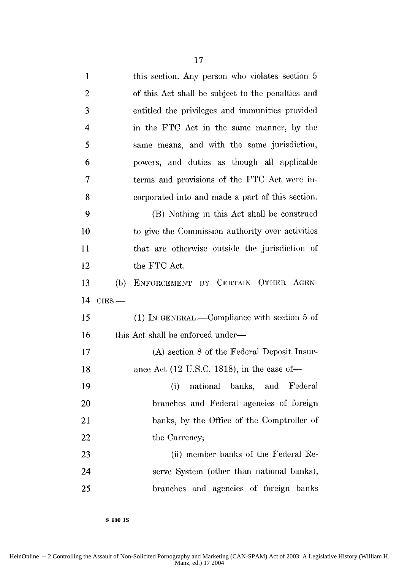| $\mathbf{1}$            |          | this section. Any person who violates section 5        |
|-------------------------|----------|--------------------------------------------------------|
| $\overline{2}$          |          | of this Act shall be subject to the penalties and      |
| 3                       |          | entitled the privileges and immunities provided        |
| $\overline{\mathbf{4}}$ |          | in the FTC Act in the same manner, by the              |
| 5                       |          | same means, and with the same jurisdiction,            |
| 6                       |          | powers, and duties as though all applicable            |
| $\overline{7}$          |          | terms and provisions of the FTC Act were in-           |
| 8                       |          | corporated into and made a part of this section.       |
| 9                       |          | (B) Nothing in this Act shall be construed             |
| 10                      |          | to give the Commission authority over activities       |
| 11                      |          | that are otherwise outside the jurisdiction of         |
| 12                      |          | the FTC Act.                                           |
| 13                      | (b)      | ENFORCEMENT BY CERTAIN OTHER AGEN-                     |
| 14                      | $CIES$ . |                                                        |
| 15                      |          | (1) IN GENERAL.—Compliance with section 5 of           |
| 16                      |          | this Act shall be enforced under—                      |
| 17                      |          | (A) section 8 of the Federal Deposit Insur-            |
| 18                      |          | ance Act $(12 \text{ U.S.C. } 1818)$ , in the case of- |
| 19                      |          | national banks, and Federal<br>(i)                     |
| 20                      |          | branches and Federal agencies of foreign               |
| 21                      |          | banks, by the Office of the Comptroller of             |
| 22                      |          | the Currency;                                          |
| 23                      |          | (ii) member banks of the Federal Re-                   |
| 24                      |          | serve System (other than national banks),              |
| 25                      |          | branches and agencies of foreign banks                 |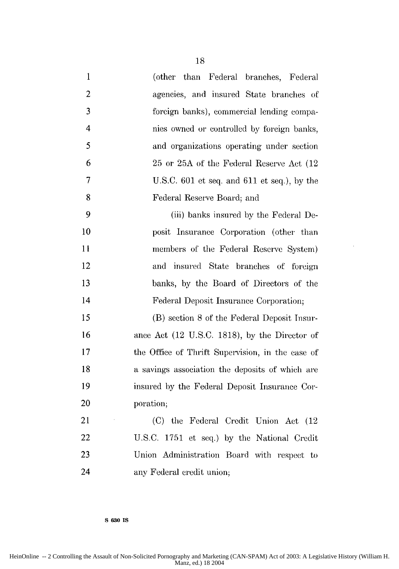| $\mathbf 1$             | (other than Federal branches, Federal            |
|-------------------------|--------------------------------------------------|
| $\overline{2}$          | agencies, and insured State branches of          |
| 3                       | foreign banks), commercial lending compa-        |
| $\overline{\mathbf{4}}$ | nies owned or controlled by foreign banks,       |
| 5                       | and organizations operating under section        |
| 6                       | 25 or 25A of the Federal Reserve Act (12)        |
| 7                       | U.S.C. 601 et seq. and 611 et seq.), by the      |
| 8                       | Federal Reserve Board; and                       |
| 9                       | (iii) banks insured by the Federal De-           |
| 10                      | posit Insurance Corporation (other than          |
| 11                      | members of the Federal Reserve System)           |
| 12                      | and insured State branches of foreign            |
| 13                      | banks, by the Board of Directors of the          |
| 14                      | Federal Deposit Insurance Corporation;           |
| 15                      | (B) section 8 of the Federal Deposit Insur-      |
| 16                      | ance Act (12 U.S.C. 1818), by the Director of    |
| 17                      | the Office of Thrift Supervision, in the case of |
| 18                      | a savings association the deposits of which are  |
| 19                      | insured by the Federal Deposit Insurance Cor-    |
| 20                      | poration;                                        |
| 21                      | (C) the Federal Credit<br>Union Act (12)         |
| 22                      | U.S.C. 1751 et seq.) by the National Credit      |
| 23                      | Union Administration Board with respect to       |
| 24                      | any Federal credit union;                        |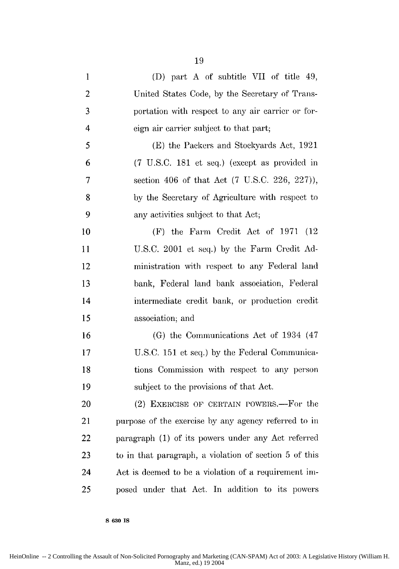| $\mathbf{1}$ | (D) part A of subtitle VII of title 49,                |
|--------------|--------------------------------------------------------|
| $\mathbf{2}$ | United States Code, by the Secretary of Trans-         |
| 3            | portation with respect to any air carrier or for-      |
| 4            | eign air carrier subject to that part;                 |
| 5            | (E) the Packers and Stockyards Act, 1921               |
| 6            | (7 U.S.C. 181 et seq.) (except as provided in          |
| 7            | section 406 of that Act (7 U.S.C. 226, 227)),          |
| 8            | by the Secretary of Agriculture with respect to        |
| 9            | any activities subject to that Act;                    |
| 10           | (F) the Farm Credit Act of 1971 (12)                   |
| 11           | U.S.C. 2001 et seq.) by the Farm Credit Ad-            |
| 12           | ministration with respect to any Federal land          |
| 13           | bank, Federal land bank association, Federal           |
| 14           | intermediate credit bank, or production credit         |
| 15           | association; and                                       |
| 16           | (G) the Communications Act of 1934 (47)                |
| 17           | U.S.C. 151 et seq.) by the Federal Communica-          |
| 18           | tions Commission with respect to any person            |
| 19           | subject to the provisions of that Act.                 |
| 20           | (2) EXERCISE OF CERTAIN POWERS.—For the                |
| 21           | purpose of the exercise by any agency referred to in   |
| 22           | paragraph (1) of its powers under any Act referred     |
| 23           | to in that paragraph, a violation of section 5 of this |
| 24           | Act is deemed to be a violation of a requirement im-   |
| 25           | posed under that Act. In addition to its powers        |

**S 630 IS**

HeinOnline -- 2 Controlling the Assault of Non-Solicited Pornography and Marketing (CAN-SPAM) Act of 2003: A Legislative History (William H. Manz, ed.) 19 2004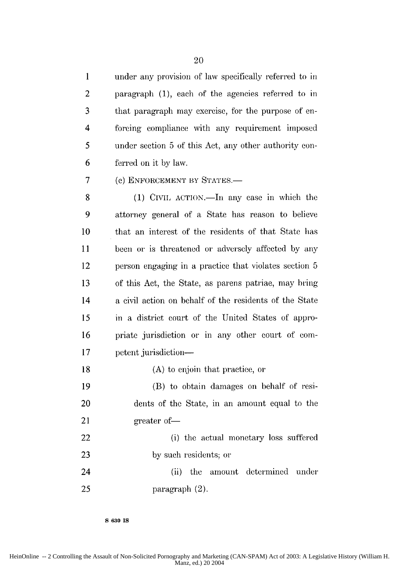1 under any provision of law specifically referred to in 2 paragraph (1), each of the agencies referred to in 3 that paragraph may exercise, for the purpose of en-4 forcing compliance with any requirement imposed *5* under section 5 of this Act, any other authority con-6 ferred on it by law.

7 (e) ENFORCEMENT BY STATES.

8 (1) CIVIL ACTION.—In any case in which the 9 attorney general of a State has reason to believe 10 that an interest of the residents of that State has 11 been or is threatened or adversely affected by any 12 person engaging in a practice that violates section 5 13 of this Act, the State, as parens patriae, may bring 14 a civil action on behalf of the residents of the State 15 in a district court of the United States of appro-16 priate jurisdiction or in any other court of com-17 **petent jurisdiction—** 

18 (A) to enjoin that practice, or

19 (B) to obtain damages on behalf of resi-20 dents of the State, in an amount equal to the 21 greater of —

22 (i) the actual monetary loss suffered 23 by such residents; or

24 (ii) the amount determined under 25 paragraph (2).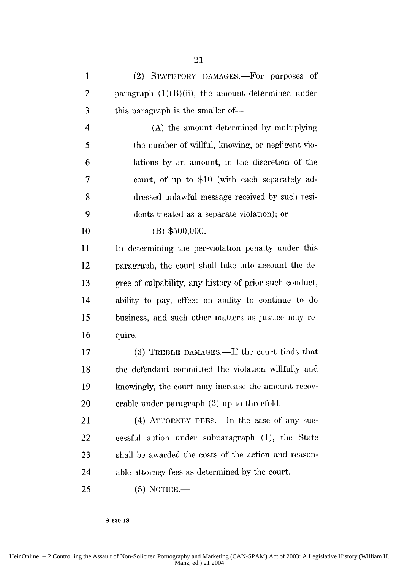1 (2) STATUTORY DAMAGES.—For purposes of 2 paragraph  $(1)(B)(ii)$ , the amount determined under **3 this paragraph is the smaller of—** 4 (A) the amount determined by multiplying 5 the number of Willful, knowing, or negligent vio-6 lations by an amount, in the discretion of the 7 court, of up to \$10 (with each separately ad-8 dressed unlawful message received by such resi-**9** dents treated as a separate violation); or **10** (B) **\$500,000.** 11 In determining the per-violation penalty under this 12 paragraph, the court shall take into account the de-13 gree of culpability, any history of prior such conduct, 14 ability to pay, effect on ability to continue to do 15 business, and such other matters as justice may re-16 quire. 17 (3) TREBLE DAMAGES.—If the court finds that 18 the defendant committed the violation willfully and 19 knowingly, the court may increase the amount recov-20 erable under paragraph (2) up to threefold. 21 (4) ATTORNEY FEES.—In the case of any suc-22 cessful action under subparagraph (1), the State 23 shall be awarded the costs of the action and reason-24 able attorney fees as determined by the court. 25 (5) **NOTICE.-**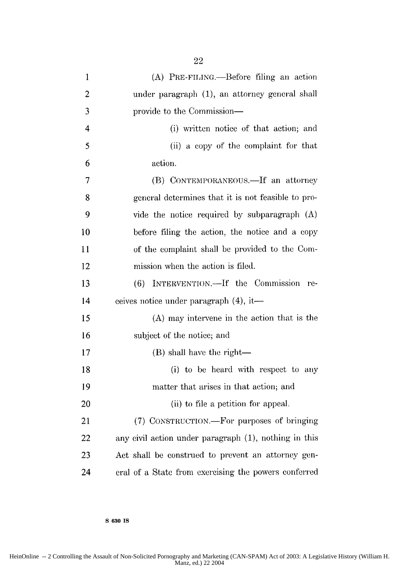| $\mathbf{1}$   | (A) PRE-FILING.—Before filing an action               |
|----------------|-------------------------------------------------------|
| $\overline{2}$ | under paragraph (1), an attorney general shall        |
| 3              | provide to the Commission—                            |
| $\overline{4}$ | (i) written notice of that action; and                |
| 5              | (ii) a copy of the complaint for that                 |
| 6              | action.                                               |
| $\overline{7}$ | (B) CONTEMPORANEOUS.—If an attorney                   |
| 8              | general determines that it is not feasible to pro-    |
| 9              | vide the notice required by subparagraph (A)          |
| 10             | before filing the action, the notice and a copy       |
| 11             | of the complaint shall be provided to the Com-        |
| 12             | mission when the action is filed.                     |
| 13             | INTERVENTION.-If the Commission<br>(6)<br>$r_{e}$     |
| 14             | eeives notice under paragraph (4), it—                |
| 15             | (A) may intervene in the action that is the           |
| 16             | subject of the notice; and                            |
| 17             | (B) shall have the right—                             |
| 18             | (i) to be heard with respect to any                   |
| 19             | matter that arises in that action; and                |
| 20             | (ii) to file a petition for appeal.                   |
| 21             | (7) CONSTRUCTION.—For purposes of bringing            |
| 22             | any civil action under paragraph (1), nothing in this |
| 23             | Act shall be construed to prevent an attorney gen-    |
| 24             | eral of a State from exercising the powers conferred  |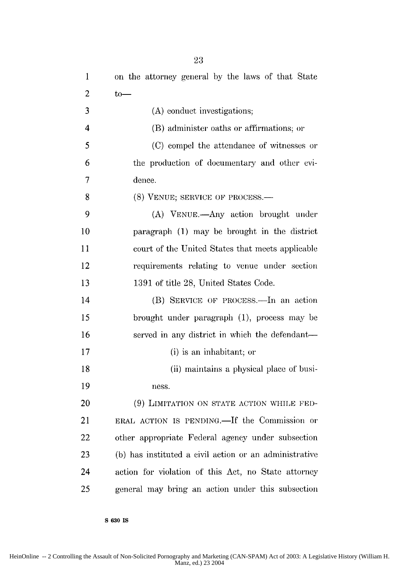| $\mathbf{1}$            | on the attorney general by the laws of that State      |
|-------------------------|--------------------------------------------------------|
| $\overline{c}$          | $to-$                                                  |
| 3                       | (A) conduct investigations;                            |
| $\overline{\mathbf{4}}$ | (B) administer oaths or affirmations; or               |
| 5                       | (C) compel the attendance of witnesses or              |
| 6                       | the production of documentary and other evi-           |
| 7                       | dence.                                                 |
| 8                       | (8) VENUE; SERVICE OF PROCESS.—                        |
| 9                       | (A) VENUE.—Any action brought under                    |
| 10                      | paragraph (1) may be brought in the district           |
| 11                      | court of the United States that meets applicable       |
| 12                      | requirements relating to venue under section           |
| 13                      | 1391 of title 28, United States Code.                  |
| 14                      | (B) SERVICE OF PROCESS.—In an action                   |
| 15                      | brought under paragraph $(1)$ , process may be         |
| 16                      | served in any district in which the defendant—         |
| 17                      | (i) is an inhabitant; or                               |
| 18                      | (ii) maintains a physical place of busi-               |
| 19                      | ness.                                                  |
| 20                      | (9) LIMITATION ON STATE ACTION WHILE FED-              |
| 21                      | ERAL ACTION IS PENDING. If the Commission or           |
| 22                      | other appropriate Federal agency under subsection      |
| 23                      | (b) has instituted a civil action or an administrative |
| 24                      | action for violation of this Act, no State attorney    |
| 25                      | general may bring an action under this subsection      |

23

**S 630 Is**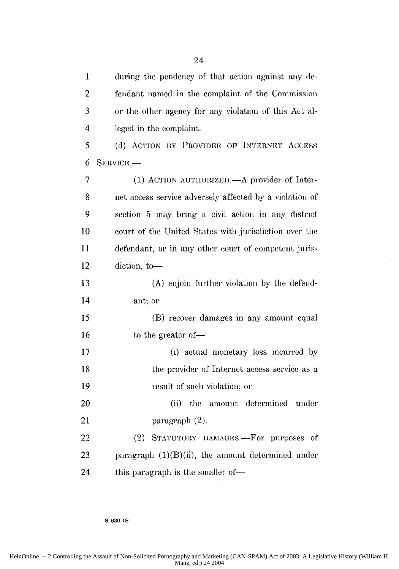1 during the pendency of that action against any de-2 fendant named in the complaint of the Commission **3** or the other agency for any violation of this Act al-4 leged in the complaint. **5** (d) ACTION BY PROVIDER OF INTERNET ACCESS 6 **SERVICE.-** 7 (1) ACTION AUTHORIZED.—A provider of Inter-8 net access service adversely affected by a violation of 9 section 5 may bring a evil action in any district 10 court of the United States with jurisdiction over the **II** defendant, or in any other court of competent juris-12 diction, to-13 (A) enjoin further violation by the defend-14 ant; or 15 (B) recover damages in any amount equal 16 to the greater of — 17 (i) actual monetary loss incurred by 18 the provider of Internet access service as a 19 result of such violation; or 20 (ii) the amount determined under 21 paragraph (2). 22 (2) STATUTORY DAMAGES.—For purposes of 23 paragraph  $(1)(B)(ii)$ , the amount determined under 24 this paragraph is the smaller of-

**S 630 IS**

HeinOnline -- 2 Controlling the Assault of Non-Solicited Pornography and Marketing (CAN-SPAM) Act of 2003: A Legislative History (William H. Manz, ed.) 24 2004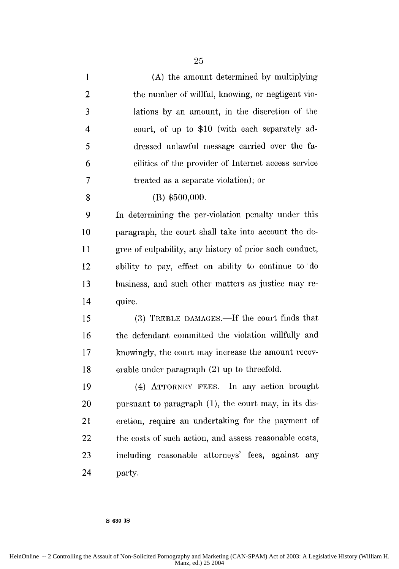| $\mathbf{1}$            | (A) the amount determined by multiplying                |
|-------------------------|---------------------------------------------------------|
| $\overline{2}$          | the number of willful, knowing, or negligent vio-       |
| 3                       | lations by an amount, in the discretion of the          |
| $\overline{\mathbf{4}}$ | court, of up to \$10 (with each separately ad-          |
| 5                       | dressed unlawful message carried over the fa-           |
| 6                       | cilities of the provider of Internet access service     |
| $\overline{7}$          | treated as a separate violation); or                    |
| 8                       | $(B)$ \$500,000.                                        |
| 9                       | In determining the per-violation penalty under this     |
| 10                      | paragraph, the court shall take into account the de-    |
| 11                      | gree of culpability, any history of prior such conduct, |
| 12                      | ability to pay, effect on ability to continue to do     |
| 13                      | business, and such other matters as justice may re-     |
| 14                      | quire.                                                  |
| 15                      | (3) TREBLE DAMAGES.—If the court finds that             |
| 16                      | the defendant committed the violation willfully and     |
| 17                      | knowingly, the court may increase the amount recov-     |
| 18                      | erable under paragraph (2) up to threefold.             |
| 19                      | (4) ATTORNEY FEES.—In any action brought                |
| 20                      | pursuant to paragraph (1), the court may, in its dis-   |
| 21                      | cretion, require an undertaking for the payment of      |
| 22                      | the costs of such action, and assess reasonable costs,  |
| 23                      | including reasonable attorneys' fees, against any       |
| 24                      | party.                                                  |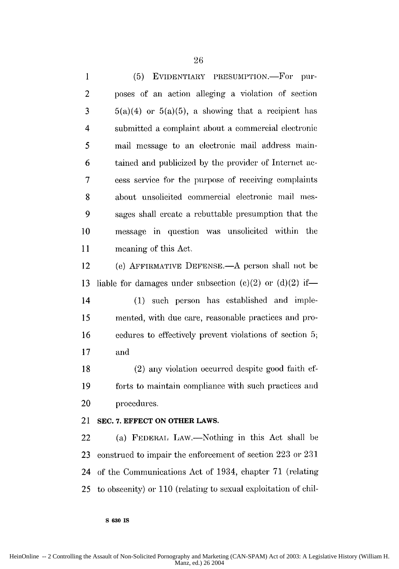1 (5) EVIDENTIARY PRESUMPTION.-For pur-2 poses of an action alleging a violation of section  $3$  5(a)(4) or 5(a)(5), a showing that a recipient has 4 submitted a complaint about a commercial electronie 5 mail message to an electronic mail address main-6 tained and publicized by the provider of Internet ac-7 cess service for the purpose of receiving complaints 8 about unsolicited commercial electronic mail mes-9 sages shall create a rebuttable presumption that the 10 message in question was unsolicited within the 11 meaning of this Act.

12 (e) AFFIRMATIVE DEFENSE.—A person shall not be 13 liable for damages under subsection  $(e)(2)$  or  $(d)(2)$  if-

14 (1) such person has established and imple-15 mented, with due care, reasonable practices and pro-16 cedures to effectively prevent violations of section 5; 17 and

18 (2) any violation occurred despite good faith ef-**19** forts to maintain compliance with such practices and 20 procedures.

21 **SEC. 7. EFFECT ON OTHER LAWS.**

**S 630 IS**

22 (a) FEDERAL LAW.—Nothing in this Act shall be 23 construed to impair the enforcement of section 223 or 231 24 of the Communications Act of 1934, chapter 71 (relating 25 to obscenity) or 110 (relating to sexual exploitation of chil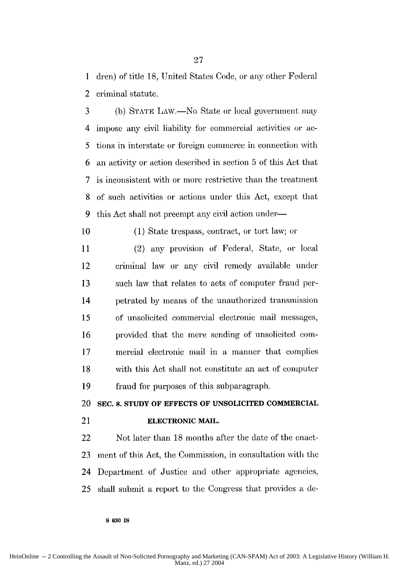**1** dren) of title 18, United States Code, or any other Federal 2 criminal statute.

3 (b) STATE LAW.—No State or local government may 4 impose any civil liability for commercial activities or ae-5 tions in interstate or foreign commerce in connection with 6 an activity or action described in section 5 of this Act that 7 is inconsistent with or more restrictive than the treatment 8 of such activities or actions under this Act, except that 9 this Act shall not preempt any civil action under-

10 (1) State trespass, contract, or tort law; or

11 (2) any provision of Federal, State, or local 12 criminal law or any civil remedy available under 13 such law that relates to acts of computer fraud per-14 petrated by means of the unauthorized transmission 15 of unsolicited commercial electronic mail messages, 16 provided that the mere sending of unsolicited com-17 mercial electronic mail in a manner that complies 18 with this Act shall not constitute an act of computer 19 fraud for purposes of this subparagraph.

20 **SEC. 8. STUDY OF EFFECTS OF UNSOLICITED COMMERCIAL**

**S 630** IS

#### 21 **ELECTRONIC MAIL.**

22 Not later than 18 months after the date of the enact-23 ment of this Act, the Commission, in consultation with the 24 Department of Justice and other appropriate agencies, 25 shall submit a report to the Congress that provides a de-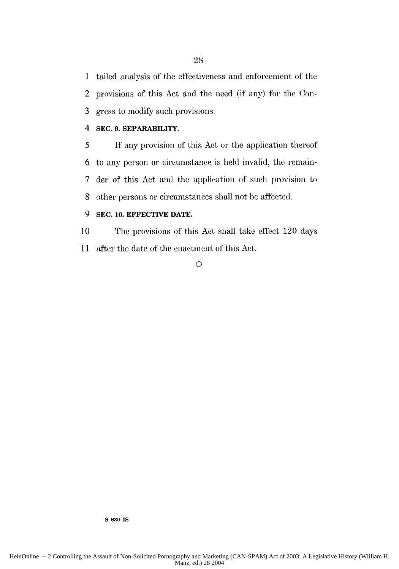1 tailed analysis of the effectiveness and enforcement of the 2 provisions of this Act and the need (if any) for the Con-3 gress to modify such provisions.

#### 4 **SEC. 9. SEPARABILITY.**

5 If any provision of this Act or the application thereof 6 to any person or circumstance is held invalid, the rcmin-7 der of this Act and the application of such provision to 8 other persons or circumstances shall not be affected.

#### **9 SEC. 10. EFFECTIVE DATE.**

10 The provisions of this Act shall take effect 120 days 11 after the date of the enactment of this Act.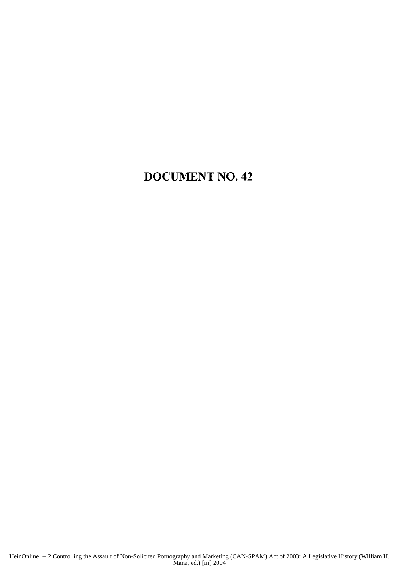### **DOCUMENT NO.** 42